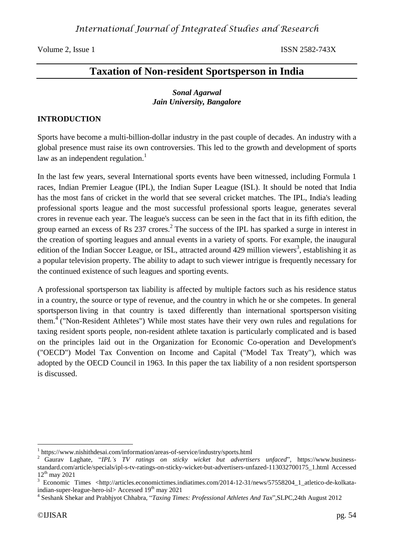Volume 2, Issue 1 ISSN 2582-743X

# **Taxation of Non-resident Sportsperson in India**

### *Sonal Agarwal Jain University, Bangalore*

### **INTRODUCTION**

Sports have become a multi-billion-dollar industry in the past couple of decades. An industry with a global presence must raise its own controversies. This led to the growth and development of sports law as an independent regulation.<sup>1</sup>

In the last few years, several International sports events have been witnessed, including Formula 1 races, Indian Premier League (IPL), the Indian Super League (ISL). It should be noted that India has the most fans of cricket in the world that see several cricket matches. The IPL, India's leading professional sports league and the most successful professional sports league, generates several crores in revenue each year. The league's success can be seen in the fact that in its fifth edition, the group earned an excess of Rs  $237$  crores.<sup>2</sup> The success of the IPL has sparked a surge in interest in the creation of sporting leagues and annual events in a variety of sports. For example, the inaugural edition of the Indian Soccer League, or ISL, attracted around 429 million viewers<sup>3</sup>, establishing it as a popular television property. The ability to adapt to such viewer intrigue is frequently necessary for the continued existence of such leagues and sporting events.

A professional sportsperson tax liability is affected by multiple factors such as his residence status in a country, the source or type of revenue, and the country in which he or she competes. In general sportsperson living in that country is taxed differently than international sportsperson visiting them.<sup>4</sup> ("Non-Resident Athletes") While most states have their very own rules and regulations for taxing resident sports people, non-resident athlete taxation is particularly complicated and is based on the principles laid out in the Organization for Economic Co-operation and Development's ("OECD") Model Tax Convention on Income and Capital ("Model Tax Treaty"), which was adopted by the OECD Council in 1963. In this paper the tax liability of a non resident sportsperson is discussed.

<sup>1</sup> https://www.nishithdesai.com/information/areas-of-service/industry/sports.html

<sup>2</sup> Gaurav Laghate, "*IPL's TV ratings on sticky wicket but advertisers unfaced*", [https://www.business](https://www.business-standard.com/article/specials/ipl-s-tv-ratings-on-sticky-wicket-but-advertisers-unfazed-113032700175_1.html)[standard.com/article/specials/ipl-s-tv-ratings-on-sticky-wicket-but-advertisers-unfazed-113032700175\\_1.html](https://www.business-standard.com/article/specials/ipl-s-tv-ratings-on-sticky-wicket-but-advertisers-unfazed-113032700175_1.html) Accessed  $12^{th}$  may 2021

<sup>&</sup>lt;sup>3</sup> Economic Times <http://articles.economictimes.indiatimes.com/2014-12-31/news/57558204\_1\_atletico-de-kolkataindian-super-league-hero-isl> Accessed 19<sup>th</sup> may 2021

<sup>4</sup> Seshank Shekar and Prabhjyot Chhabra, "*Taxing Times: Professional Athletes And Tax*",SLPC,24th August 2012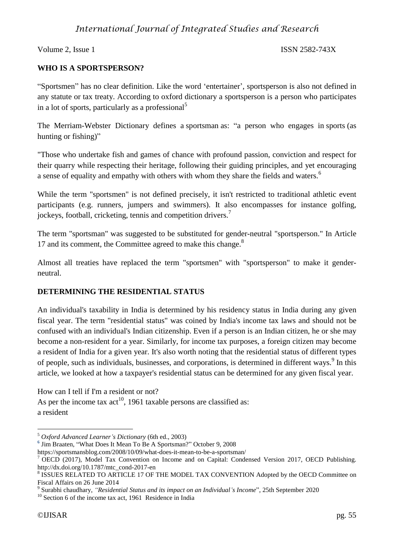Volume 2, Issue 1 ISSN 2582-743X

## **WHO IS A SPORTSPERSON?**

"Sportsmen" has no clear definition. Like the word 'entertainer', sportsperson is also not defined in any statute or tax treaty. According to oxford dictionary a sportsperson is a person who participates in a lot of sports, particularly as a professional<sup>5</sup>

The Merriam-Webster Dictionary defines a sportsman as: "a person who engages in sports (as hunting or fishing)"

"Those who undertake fish and games of chance with profound passion, conviction and respect for their quarry while respecting their heritage, following their guiding principles, and yet encouraging a sense of equality and empathy with others with whom they share the fields and waters.<sup>6</sup>

While the term "sportsmen" is not defined precisely, it isn't restricted to traditional athletic event participants (e.g. runners, jumpers and swimmers). It also encompasses for instance golfing, jockeys, football, cricketing, tennis and competition drivers.<sup>7</sup>

The term "sportsman" was suggested to be substituted for gender-neutral "sportsperson." In Article 17 and its comment, the Committee agreed to make this change.<sup>8</sup>

Almost all treaties have replaced the term "sportsmen" with "sportsperson" to make it genderneutral.

## **DETERMINING THE RESIDENTIAL STATUS**

An individual's taxability in India is determined by his residency status in India during any given fiscal year. The term "residential status" was coined by India's income tax laws and should not be confused with an individual's Indian citizenship. Even if a person is an Indian citizen, he or she may become a non-resident for a year. Similarly, for income tax purposes, a foreign citizen may become a resident of India for a given year. It's also worth noting that the residential status of different types of people, such as individuals, businesses, and corporations, is determined in different ways.<sup>9</sup> In this article, we looked at how a taxpayer's residential status can be determined for any given fiscal year.

How can I tell if I'm a resident or not?

As per the income tax  $act^{10}$ , 1961 taxable persons are classified as: a resident

**6** Jim Braaten, "What Does It Mean To Be A [Sportsman?"](https://sportsmansblog.com/2008/10/09/what-does-it-mean-to-be-a-sportsman/) October 9, 2008

https://sportsmansblog.com/2008/10/09/what-does-it-mean-to-be-a-sportsman/

<sup>1</sup> <sup>5</sup> *Oxford Advanced Learner's Dictionary* (6th ed., 2003)

OECD (2017), Model Tax Convention on Income and on Capital: Condensed Version 2017, OECD Publishing. http://dx.doi.org/10.1787/mtc\_cond-2017-en

<sup>&</sup>lt;sup>8</sup> ISSUES RELATED TO ARTICLE 17 OF THE MODEL TAX CONVENTION Adopted by the OECD Committee on Fiscal Affairs on 26 June 2014

<sup>9</sup> Surabhi chaudhary, *"Residential Status and its impact on an Individual's Income*", 25th September 2020

<sup>&</sup>lt;sup>10</sup> Section 6 of the income tax act, 1961 Residence in India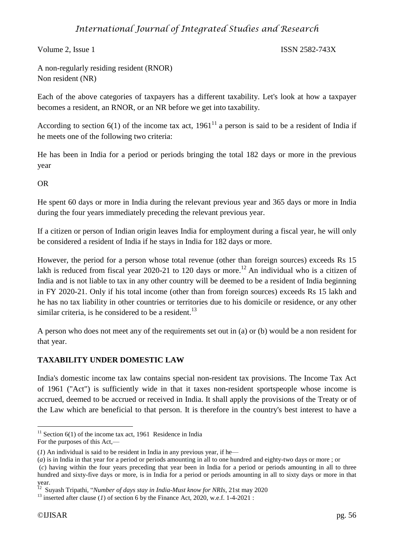Volume 2, Issue 1 ISSN 2582-743X

A non-regularly residing resident (RNOR) Non resident (NR)

Each of the above categories of taxpayers has a different taxability. Let's look at how a taxpayer becomes a resident, an RNOR, or an NR before we get into taxability.

According to section 6(1) of the income tax act,  $1961<sup>11</sup>$  a person is said to be a resident of India if he meets one of the following two criteria:

He has been in India for a period or periods bringing the total 182 days or more in the previous year

OR

He spent 60 days or more in India during the relevant previous year and 365 days or more in India during the four years immediately preceding the relevant previous year.

If a citizen or person of Indian origin leaves India for employment during a fiscal year, he will only be considered a resident of India if he stays in India for 182 days or more.

However, the period for a person whose total revenue (other than foreign sources) exceeds Rs 15 lakh is reduced from fiscal year 2020-21 to 120 days or more.<sup>12</sup> An individual who is a citizen of India and is not liable to tax in any other country will be deemed to be a resident of India beginning in FY 2020-21. Only if his total income (other than from foreign sources) exceeds Rs 15 lakh and he has no tax liability in other countries or territories due to his domicile or residence, or any other similar criteria, is he considered to be a resident.<sup>13</sup>

A person who does not meet any of the requirements set out in (a) or (b) would be a non resident for that year.

## **TAXABILITY UNDER DOMESTIC LAW**

India's domestic income tax law contains special non-resident tax provisions. The Income Tax Act of 1961 ("Act") is sufficiently wide in that it taxes non-resident sportspeople whose income is accrued, deemed to be accrued or received in India. It shall apply the provisions of the Treaty or of the Law which are beneficial to that person. It is therefore in the country's best interest to have a

<sup>1</sup> <sup>11</sup> Section 6(1) of the income tax act, 1961 Residence in India

For the purposes of this Act,—

 $(1)$  An individual is said to be resident in India in any previous year, if he—

<sup>(</sup>*a*) is in India in that year for a period or periods amounting in all to one hundred and eighty-two days or more ; or

<sup>(</sup>*c*) having within the four years preceding that year been in India for a period or periods amounting in all to three hundred and sixty-five days or more, is in India for a period or periods amounting in all to sixty days or more in that year.

Suyash Tripathi, "*Number of days stay in India-Must know for NRIs*, 21st may 2020

 $13$  inserted after clause (*1*) of section 6 by the Finance Act, 2020, w.e.f. 1-4-2021 :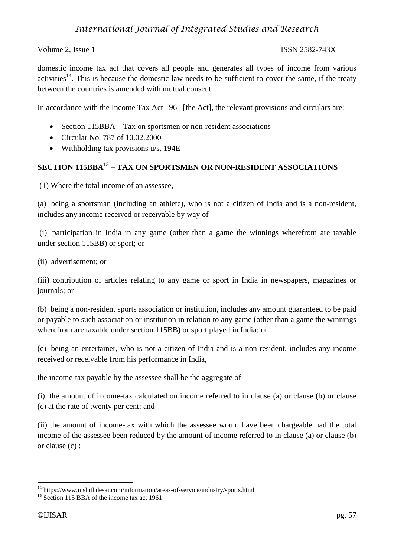Volume 2, Issue 1 ISSN 2582-743X

domestic income tax act that covers all people and generates all types of income from various activities<sup>14</sup>. This is because the domestic law needs to be sufficient to cover the same, if the treaty between the countries is amended with mutual consent.

In accordance with the Income Tax Act 1961 [the Act], the relevant provisions and circulars are:

- Section 115BBA Tax on sportsmen or non-resident associations
- Circular No. 787 of 10.02.2000
- Withholding tax provisions u/s. 194E

## **SECTION 115BBA<sup>15</sup> – TAX ON SPORTSMEN OR NON-RESIDENT ASSOCIATIONS**

(1) Where the total income of an assessee,—

(a) being a sportsman (including an athlete), who is not a citizen of India and is a non-resident, includes any income received or receivable by way of—

(i) participation in India in any game (other than a game the winnings wherefrom are taxable under section 115BB) or sport; or

(ii) advertisement; or

(iii) contribution of articles relating to any game or sport in India in newspapers, magazines or journals; or

(b) being a non-resident sports association or institution, includes any amount guaranteed to be paid or payable to such association or institution in relation to any game (other than a game the winnings wherefrom are taxable under section 115BB) or sport played in India; or

(c) being an entertainer, who is not a citizen of India and is a non-resident, includes any income received or receivable from his performance in India,

the income-tax payable by the assessee shall be the aggregate of—

(i) the amount of income-tax calculated on income referred to in clause (a) or clause (b) or clause (c) at the rate of twenty per cent; and

(ii) the amount of income-tax with which the assessee would have been chargeable had the total income of the assessee been reduced by the amount of income referred to in clause (a) or clause (b) or clause (c) :

<sup>&</sup>lt;sup>14</sup> https://www.nishithdesai.com/information/areas-of-service/industry/sports.html

<sup>&</sup>lt;sup>15</sup> Section 115 BBA of the income tax act 1961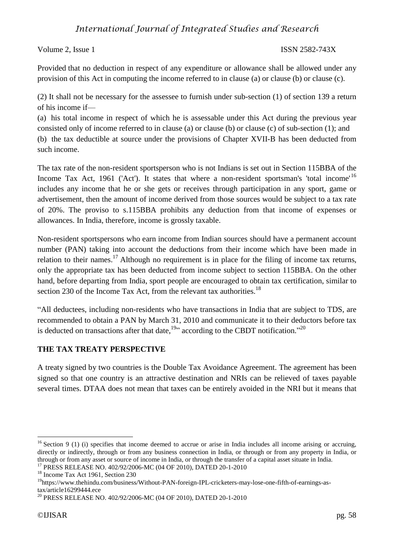Volume 2, Issue 1 ISSN 2582-743X

Provided that no deduction in respect of any expenditure or allowance shall be allowed under any provision of this Act in computing the income referred to in clause (a) or clause (b) or clause (c).

(2) It shall not be necessary for the assessee to furnish under sub-section (1) of section 139 a return of his income if—

(a) his total income in respect of which he is assessable under this Act during the previous year consisted only of income referred to in clause (a) or clause (b) or clause (c) of sub-section (1); and (b) the tax deductible at source under the provisions of Chapter XVII-B has been deducted from such income.

The tax rate of the non-resident sportsperson who is not Indians is set out in Section 115BBA of the Income Tax Act, 1961 ('Act'). It states that where a non-resident sportsman's 'total income'<sup>16</sup> includes any income that he or she gets or receives through participation in any sport, game or advertisement, then the amount of income derived from those sources would be subject to a tax rate of 20%. The proviso to s.115BBA prohibits any deduction from that income of expenses or allowances. In India, therefore, income is grossly taxable.

Non-resident sportspersons who earn income from Indian sources should have a permanent account number (PAN) taking into account the deductions from their income which have been made in relation to their names.<sup>17</sup> Although no requirement is in place for the filing of income tax returns, only the appropriate tax has been deducted from income subject to section 115BBA. On the other hand, before departing from India, sport people are encouraged to obtain tax certification, similar to section 230 of the Income Tax Act, from the relevant tax authorities.<sup>18</sup>

"All deductees, including non-residents who have transactions in India that are subject to TDS, are recommended to obtain a PAN by March 31, 2010 and communicate it to their deductors before tax is deducted on transactions after that date,  $^{19}$ " according to the CBDT notification."<sup>20</sup>

## **THE TAX TREATY PERSPECTIVE**

A treaty signed by two countries is the Double Tax Avoidance Agreement. The agreement has been signed so that one country is an attractive destination and NRIs can be relieved of taxes payable several times. DTAA does not mean that taxes can be entirely avoided in the NRI but it means that

<u>.</u>

 $16$  Section 9 (1) (i) specifies that income deemed to accrue or arise in India includes all income arising or accruing, directly or indirectly, through or from any business connection in India, or through or from any property in India, or through or from any asset or source of income in India, or through the transfer of a capital asset situate in India.

<sup>17</sup> PRESS RELEASE NO. 402/92/2006-MC (04 OF 2010), DATED 20-1-2010

<sup>&</sup>lt;sup>18</sup> Income Tax Act 1961, Section 230

<sup>19</sup>https://www.thehindu.com/business/Without-PAN-foreign-IPL-cricketers-may-lose-one-fifth-of-earnings-astax/article16299444.ece

<sup>20</sup> PRESS RELEASE NO. 402/92/2006-MC (04 OF 2010), DATED 20-1-2010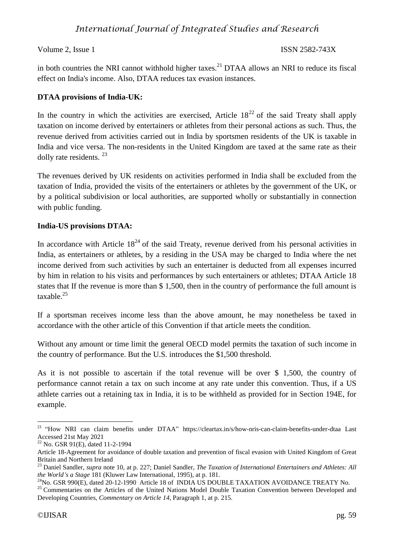Volume 2, Issue 1 ISSN 2582-743X

in both countries the NRI cannot withhold higher taxes.<sup>21</sup> DTAA allows an NRI to reduce its fiscal effect on India's income. Also, DTAA reduces tax evasion instances.

## **DTAA provisions of India-UK:**

In the country in which the activities are exercised, Article  $18^{22}$  of the said Treaty shall apply taxation on income derived by entertainers or athletes from their personal actions as such. Thus, the revenue derived from activities carried out in India by sportsmen residents of the UK is taxable in India and vice versa. The non-residents in the United Kingdom are taxed at the same rate as their dolly rate residents. <sup>23</sup>

The revenues derived by UK residents on activities performed in India shall be excluded from the taxation of India, provided the visits of the entertainers or athletes by the government of the UK, or by a political subdivision or local authorities, are supported wholly or substantially in connection with public funding.

## **India-US provisions DTAA:**

In accordance with Article  $18^{24}$  of the said Treaty, revenue derived from his personal activities in India, as entertainers or athletes, by a residing in the USA may be charged to India where the net income derived from such activities by such an entertainer is deducted from all expenses incurred by him in relation to his visits and performances by such entertainers or athletes; DTAA Article 18 states that If the revenue is more than \$ 1,500, then in the country of performance the full amount is taxable $^{25}$ 

If a sportsman receives income less than the above amount, he may nonetheless be taxed in accordance with the other article of this Convention if that article meets the condition.

Without any amount or time limit the general OECD model permits the taxation of such income in the country of performance. But the U.S. introduces the \$1,500 threshold.

As it is not possible to ascertain if the total revenue will be over \$ 1,500, the country of performance cannot retain a tax on such income at any rate under this convention. Thus, if a US athlete carries out a retaining tax in India, it is to be withheld as provided for in Section 194E, for example.

<sup>&</sup>lt;sup>21</sup> "How NRI can claim benefits under DTAA" <https://cleartax.in/s/how-nris-can-claim-benefits-under-dtaa> Last Accessed 21st May 2021

<sup>22</sup> No. GSR 91(E), dated 11-2-1994

Article 18-Agreement for avoidance of double taxation and prevention of fiscal evasion with United Kingdom of Great Britain and Northern Ireland

<sup>23</sup> Daniel Sandler, *supra* note 10, at p. 227; Daniel Sandler, *The Taxation of International Entertainers and Athletes: All the World's a Stage* 181 (Kluwer Law International, 1995), at p. 181.

 $^{24}$ No. GSR 990(E), dated 20-12-1990 Article 18 of INDIA US DOUBLE TAXATION AVOIDANCE TREATY No.

<sup>&</sup>lt;sup>25</sup> Commentaries on the Articles of the United Nations Model Double Taxation Convention between Developed and Developing Countries, *Commentary on Article 14*, Paragraph 1, at p. 215.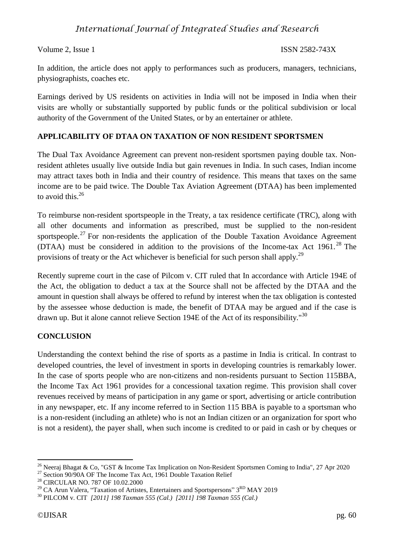### Volume 2, Issue 1 ISSN 2582-743X

In addition, the article does not apply to performances such as producers, managers, technicians, physiographists, coaches etc.

Earnings derived by US residents on activities in India will not be imposed in India when their visits are wholly or substantially supported by public funds or the political subdivision or local authority of the Government of the United States, or by an entertainer or athlete.

### **APPLICABILITY OF DTAA ON TAXATION OF NON RESIDENT SPORTSMEN**

The Dual Tax Avoidance Agreement can prevent non-resident sportsmen paying double tax. Nonresident athletes usually live outside India but gain revenues in India. In such cases, Indian income may attract taxes both in India and their country of residence. This means that taxes on the same income are to be paid twice. The Double Tax Aviation Agreement (DTAA) has been implemented to avoid this. $26$ 

To reimburse non-resident sportspeople in the Treaty, a tax residence certificate (TRC), along with all other documents and information as prescribed, must be supplied to the non-resident sportspeople.<sup>27</sup> For non-residents the application of the Double Taxation Avoidance Agreement (DTAA) must be considered in addition to the provisions of the Income-tax Act  $1961$ <sup>28</sup>. The provisions of treaty or the Act whichever is beneficial for such person shall apply.<sup>29</sup>

Recently supreme court in the case of Pilcom v. CIT ruled that In accordance with Article 194E of the Act, the obligation to deduct a tax at the Source shall not be affected by the DTAA and the amount in question shall always be offered to refund by interest when the tax obligation is contested by the assessee whose deduction is made, the benefit of DTAA may be argued and if the case is drawn up. But it alone cannot relieve Section 194E of the Act of its responsibility."<sup>30</sup>

## **CONCLUSION**

Understanding the context behind the rise of sports as a pastime in India is critical. In contrast to developed countries, the level of investment in sports in developing countries is remarkably lower. In the case of sports people who are non-citizens and non-residents pursuant to Section 115BBA, the Income Tax Act 1961 provides for a concessional taxation regime. This provision shall cover revenues received by means of participation in any game or sport, advertising or article contribution in any newspaper, etc. If any income referred to in Section 115 BBA is payable to a sportsman who is a non-resident (including an athlete) who is not an Indian citizen or an organization for sport who is not a resident), the payer shall, when such income is credited to or paid in cash or by cheques or

<sup>&</sup>lt;sup>26</sup> Neeraj Bhagat & Co, "GST & Income Tax Implication on Non-Resident Sportsmen Coming to India", 27 Apr 2020

<sup>&</sup>lt;sup>27</sup> Section 90/90A OF The Income Tax Act, 1961 Double Taxation Relief

<sup>28</sup> CIRCULAR NO. 787 OF 10.02.2000

<sup>&</sup>lt;sup>29</sup> CA Arun Valera, "Taxation of Artistes, Entertainers and Sportspersons" 3<sup>RD</sup> MAY 2019

<sup>30</sup> PILCOM v. CIT *[2011] 198 Taxman 555 (Cal.) [2011] 198 Taxman 555 (Cal.)*